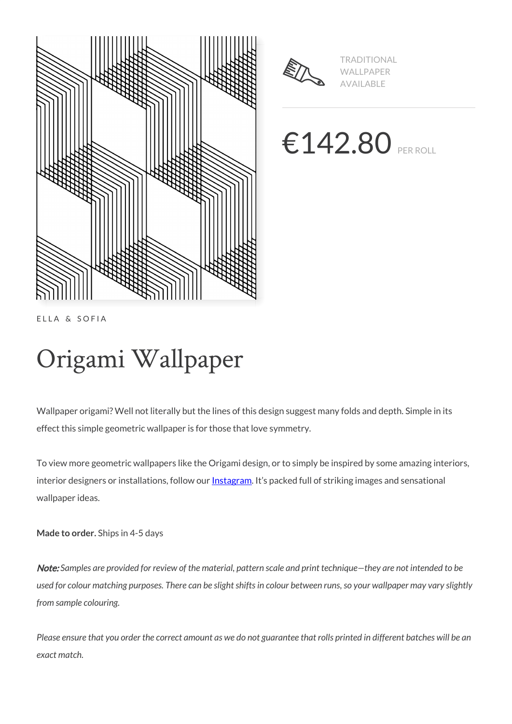



TRADITIONAL WALLPAPER AVAILABLE

€142.80 PER ROLL

ELLA & SOFIA

# Origami Wallpaper

Wallpaper origami? Well not literally but the lines of this design suggest many folds and depth. Simple in its effect this simple geometric wallpaper is for those that love symmetry.

To view more geometric wallpapers like the Origami design, or to simply be inspired by some amazing interiors, interior designers or installations, follow our **Instagram**. It's packed full of striking images and sensational wallpaper ideas.

**Made to order.** Ships in 4-5 days

Note: *Samples are provided for review of the material, pattern scale and print technique—they are not intended to be used for colour matching purposes. There can be slight shifts in colour between runs, so your wallpaper may vary slightly from sample colouring.*

*Please ensure that you order the correct amount as we do not guarantee that rolls printed in different batches will be an exact match.*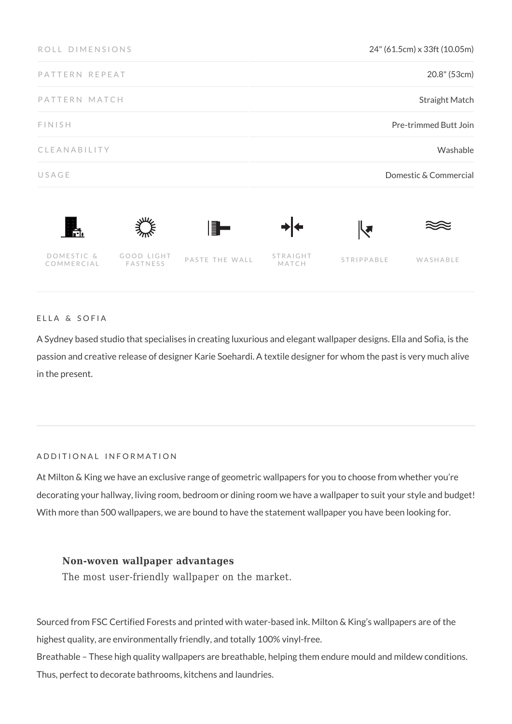| ROLL DIMENSIONS          |                        |                | 24" (61.5cm) x 33ft (10.05m) |                      |          |
|--------------------------|------------------------|----------------|------------------------------|----------------------|----------|
| PATTERN REPEAT           |                        |                | 20.8" (53cm)                 |                      |          |
| PATTERN MATCH            |                        |                | Straight Match               |                      |          |
| FINISH                   |                        |                | Pre-trimmed Butt Join        |                      |          |
| CLEANABILITY             |                        |                | Washable                     |                      |          |
| USAGE                    |                        |                | Domestic & Commercial        |                      |          |
| ĥ.                       |                        | ▌▊▅            |                              | $\blacktriangledown$ |          |
| DOMESTIC &<br>COMMERCIAL | GOOD LIGHT<br>FASTNESS | PASTE THE WALL | STRAIGHT<br>MATCH            | STRIPPABLE           | WASHABLE |

### ELLA & SOFIA

A Sydney based studio that specialises in creating luxurious and elegant wallpaper designs. Ella and Sofia, is the passion and creative release of designer Karie Soehardi. A textile designer for whom the past is very much alive in the present.

### ADDITIONAL INFORMATION

At Milton & King we have an exclusive range of geometric wallpapers for you to choose from whether you're decorating your hallway, living room, bedroom or dining room we have a wallpaper to suit your style and budget! With more than 500 wallpapers, we are bound to have the statement wallpaper you have been looking for.

## **Non-woven wallpaper advantages**

The most user-friendly wallpaper on the market.

Sourced from FSC Certified Forests and printed with water-based ink. Milton & King's wallpapers are of the highest quality, are environmentally friendly, and totally 100% vinyl-free.

Breathable – These high quality wallpapers are breathable, helping them endure mould and mildew conditions. Thus, perfect to decorate bathrooms, kitchens and laundries.